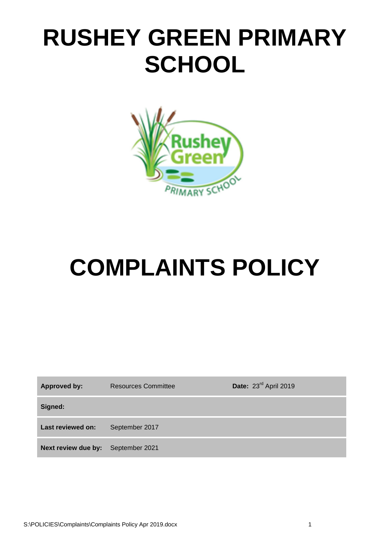## **RUSHEY GREEN PRIMARY SCHOOL**



# **COMPLAINTS POLICY**

| <b>Approved by:</b>                | <b>Resources Committee</b> | Date: 23rd April 2019 |
|------------------------------------|----------------------------|-----------------------|
| Signed:                            |                            |                       |
| Last reviewed on:                  | September 2017             |                       |
| Next review due by: September 2021 |                            |                       |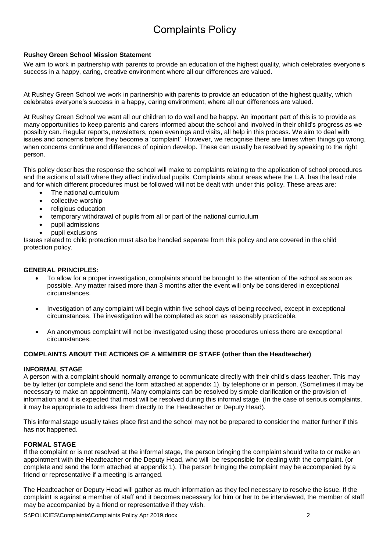### Complaints Policy

#### **Rushey Green School Mission Statement**

We aim to work in partnership with parents to provide an education of the highest quality, which celebrates everyone's success in a happy, caring, creative environment where all our differences are valued.

At Rushey Green School we work in partnership with parents to provide an education of the highest quality, which celebrates everyone's success in a happy, caring environment, where all our differences are valued.

At Rushey Green School we want all our children to do well and be happy. An important part of this is to provide as many opportunities to keep parents and carers informed about the school and involved in their child's progress as we possibly can. Regular reports, newsletters, open evenings and visits, all help in this process. We aim to deal with issues and concerns before they become a 'complaint'. However, we recognise there are times when things go wrong, when concerns continue and differences of opinion develop. These can usually be resolved by speaking to the right person.

This policy describes the response the school will make to complaints relating to the application of school procedures and the actions of staff where they affect individual pupils. Complaints about areas where the L.A. has the lead role and for which different procedures must be followed will not be dealt with under this policy. These areas are:

- The national curriculum
- collective worship
- religious education
- temporary withdrawal of pupils from all or part of the national curriculum
- pupil admissions
- pupil exclusions

Issues related to child protection must also be handled separate from this policy and are covered in the child protection policy.

#### **GENERAL PRINCIPLES:**

- To allow for a proper investigation, complaints should be brought to the attention of the school as soon as possible. Any matter raised more than 3 months after the event will only be considered in exceptional circumstances.
- Investigation of any complaint will begin within five school days of being received, except in exceptional circumstances. The investigation will be completed as soon as reasonably practicable.
- An anonymous complaint will not be investigated using these procedures unless there are exceptional circumstances.

#### **COMPLAINTS ABOUT THE ACTIONS OF A MEMBER OF STAFF (other than the Headteacher)**

#### **INFORMAL STAGE**

A person with a complaint should normally arrange to communicate directly with their child's class teacher. This may be by letter (or complete and send the form attached at appendix 1), by telephone or in person. (Sometimes it may be necessary to make an appointment). Many complaints can be resolved by simple clarification or the provision of information and it is expected that most will be resolved during this informal stage. (In the case of serious complaints, it may be appropriate to address them directly to the Headteacher or Deputy Head).

This informal stage usually takes place first and the school may not be prepared to consider the matter further if this has not happened.

#### **FORMAL STAGE**

If the complaint or is not resolved at the informal stage, the person bringing the complaint should write to or make an appointment with the Headteacher or the Deputy Head, who will be responsible for dealing with the complaint. (or complete and send the form attached at appendix 1). The person bringing the complaint may be accompanied by a friend or representative if a meeting is arranged.

The Headteacher or Deputy Head will gather as much information as they feel necessary to resolve the issue. If the complaint is against a member of staff and it becomes necessary for him or her to be interviewed, the member of staff may be accompanied by a friend or representative if they wish.

S:\POLICIES\Complaints\Complaints Policy Apr 2019.docx 2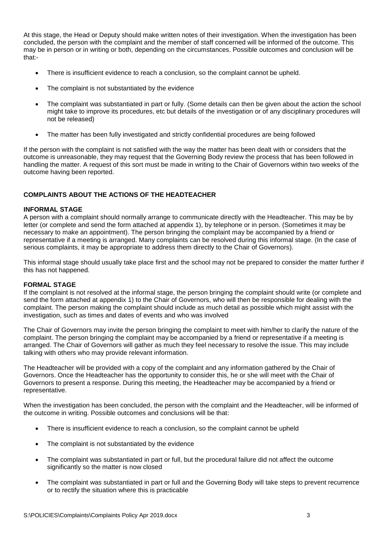At this stage, the Head or Deputy should make written notes of their investigation. When the investigation has been concluded, the person with the complaint and the member of staff concerned will be informed of the outcome. This may be in person or in writing or both, depending on the circumstances. Possible outcomes and conclusion will be that:-

- There is insufficient evidence to reach a conclusion, so the complaint cannot be upheld.
- The complaint is not substantiated by the evidence
- The complaint was substantiated in part or fully. (Some details can then be given about the action the school might take to improve its procedures, etc but details of the investigation or of any disciplinary procedures will not be released)
- The matter has been fully investigated and strictly confidential procedures are being followed

If the person with the complaint is not satisfied with the way the matter has been dealt with or considers that the outcome is unreasonable, they may request that the Governing Body review the process that has been followed in handling the matter. A request of this sort must be made in writing to the Chair of Governors within two weeks of the outcome having been reported.

#### **COMPLAINTS ABOUT THE ACTIONS OF THE HEADTEACHER**

#### **INFORMAL STAGE**

A person with a complaint should normally arrange to communicate directly with the Headteacher. This may be by letter (or complete and send the form attached at appendix 1), by telephone or in person. (Sometimes it may be necessary to make an appointment). The person bringing the complaint may be accompanied by a friend or representative if a meeting is arranged. Many complaints can be resolved during this informal stage. (In the case of serious complaints, it may be appropriate to address them directly to the Chair of Governors).

This informal stage should usually take place first and the school may not be prepared to consider the matter further if this has not happened.

#### **FORMAL STAGE**

If the complaint is not resolved at the informal stage, the person bringing the complaint should write (or complete and send the form attached at appendix 1) to the Chair of Governors, who will then be responsible for dealing with the complaint. The person making the complaint should include as much detail as possible which might assist with the investigation, such as times and dates of events and who was involved

The Chair of Governors may invite the person bringing the complaint to meet with him/her to clarify the nature of the complaint. The person bringing the complaint may be accompanied by a friend or representative if a meeting is arranged. The Chair of Governors will gather as much they feel necessary to resolve the issue. This may include talking with others who may provide relevant information.

The Headteacher will be provided with a copy of the complaint and any information gathered by the Chair of Governors. Once the Headteacher has the opportunity to consider this, he or she will meet with the Chair of Governors to present a response. During this meeting, the Headteacher may be accompanied by a friend or representative.

When the investigation has been concluded, the person with the complaint and the Headteacher, will be informed of the outcome in writing. Possible outcomes and conclusions will be that:

- There is insufficient evidence to reach a conclusion, so the complaint cannot be upheld
- The complaint is not substantiated by the evidence
- The complaint was substantiated in part or full, but the procedural failure did not affect the outcome significantly so the matter is now closed
- The complaint was substantiated in part or full and the Governing Body will take steps to prevent recurrence or to rectify the situation where this is practicable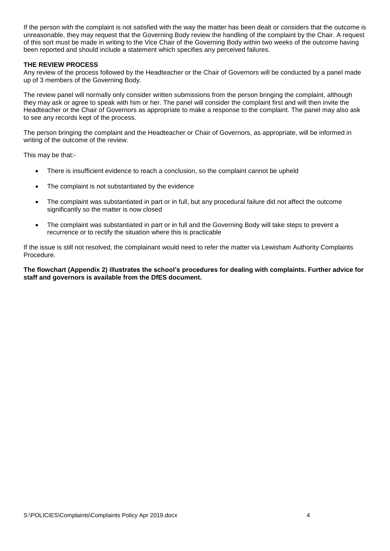If the person with the complaint is not satisfied with the way the matter has been dealt or considers that the outcome is unreasonable, they may request that the Governing Body review the handling of the complaint by the Chair. A request of this sort must be made in writing to the Vice Chair of the Governing Body within two weeks of the outcome having been reported and should include a statement which specifies any perceived failures.

#### **THE REVIEW PROCESS**

Any review of the process followed by the Headteacher or the Chair of Governors will be conducted by a panel made up of 3 members of the Governing Body.

The review panel will normally only consider written submissions from the person bringing the complaint, although they may ask or agree to speak with him or her. The panel will consider the complaint first and will then invite the Headteacher or the Chair of Governors as appropriate to make a response to the complaint. The panel may also ask to see any records kept of the process.

The person bringing the complaint and the Headteacher or Chair of Governors, as appropriate, will be informed in writing of the outcome of the review.

This may be that:-

- There is insufficient evidence to reach a conclusion, so the complaint cannot be upheld
- The complaint is not substantiated by the evidence
- The complaint was substantiated in part or in full, but any procedural failure did not affect the outcome significantly so the matter is now closed
- The complaint was substantiated in part or in full and the Governing Body will take steps to prevent a recurrence or to rectify the situation where this is practicable

If the issue is still not resolved, the complainant would need to refer the matter via Lewisham Authority Complaints Procedure.

**The flowchart (Appendix 2) illustrates the school's procedures for dealing with complaints. Further advice for staff and governors is available from the DfES document.**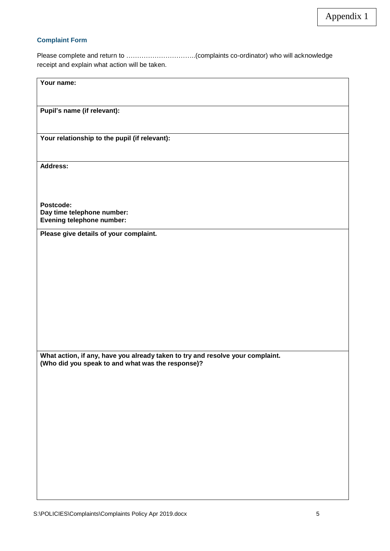#### **Complaint Form**

Please complete and return to …………………………..(complaints co-ordinator) who will acknowledge receipt and explain what action will be taken.

| Your name:                                                                                                                          |  |  |
|-------------------------------------------------------------------------------------------------------------------------------------|--|--|
| Pupil's name (if relevant):                                                                                                         |  |  |
| Your relationship to the pupil (if relevant):                                                                                       |  |  |
| <b>Address:</b>                                                                                                                     |  |  |
| Postcode:<br>Day time telephone number:<br>Evening telephone number:                                                                |  |  |
| Please give details of your complaint.                                                                                              |  |  |
|                                                                                                                                     |  |  |
| What action, if any, have you already taken to try and resolve your complaint.<br>(Who did you speak to and what was the response)? |  |  |
|                                                                                                                                     |  |  |
|                                                                                                                                     |  |  |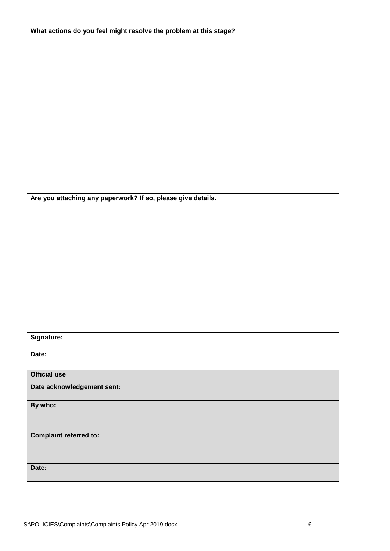| What actions do you feel might resolve the problem at this stage? |
|-------------------------------------------------------------------|
|                                                                   |
|                                                                   |
|                                                                   |
|                                                                   |
|                                                                   |
|                                                                   |
|                                                                   |
|                                                                   |
|                                                                   |
|                                                                   |
|                                                                   |
|                                                                   |
|                                                                   |
|                                                                   |
|                                                                   |
|                                                                   |
|                                                                   |
|                                                                   |
|                                                                   |
| Are you attaching any paperwork? If so, please give details.      |
|                                                                   |
|                                                                   |
|                                                                   |
|                                                                   |
|                                                                   |
|                                                                   |
|                                                                   |
|                                                                   |
|                                                                   |
|                                                                   |
|                                                                   |
|                                                                   |
|                                                                   |
|                                                                   |
|                                                                   |
| Signature:                                                        |
|                                                                   |
| Date:                                                             |
|                                                                   |
| <b>Official use</b>                                               |
|                                                                   |
| Date acknowledgement sent:                                        |
|                                                                   |
| By who:                                                           |
|                                                                   |
|                                                                   |
| <b>Complaint referred to:</b>                                     |
|                                                                   |
|                                                                   |
|                                                                   |
| Date:                                                             |
|                                                                   |
|                                                                   |